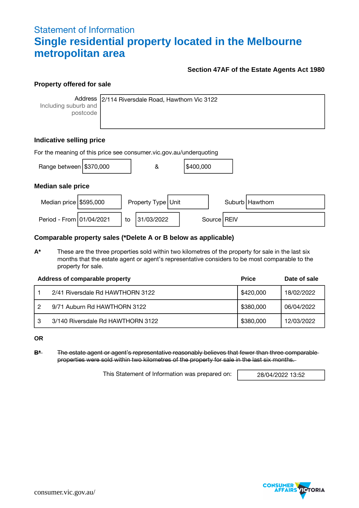## Statement of Information **Single residential property located in the Melbourne metropolitan area**

#### **Section 47AF of the Estate Agents Act 1980**

#### **Property offered for sale**

Including suburb and postcode

Address 2/114 Riversdale Road, Hawthorn Vic 3122

### **Indicative selling price**

| For the meaning of this price see consumer vic.gov.au/underquoting |  |    |                    |  |           |  |               |                   |
|--------------------------------------------------------------------|--|----|--------------------|--|-----------|--|---------------|-------------------|
| Range between $\frac{15370,000}{1000}$                             |  |    | &                  |  | \$400,000 |  |               |                   |
| <b>Median sale price</b>                                           |  |    |                    |  |           |  |               |                   |
| Median price $$595,000$                                            |  |    | Property Type Unit |  |           |  |               | Suburb   Hawthorn |
| Period - From 01/04/2021                                           |  | to | 31/03/2022         |  |           |  | Source   REIV |                   |

#### **Comparable property sales (\*Delete A or B below as applicable)**

**A\*** These are the three properties sold within two kilometres of the property for sale in the last six months that the estate agent or agent's representative considers to be most comparable to the property for sale.

|   | Address of comparable property    | <b>Price</b> | Date of sale |
|---|-----------------------------------|--------------|--------------|
|   | 2/41 Riversdale Rd HAWTHORN 3122  | \$420,000    | 18/02/2022   |
|   | 9/71 Auburn Rd HAWTHORN 3122      | \$380,000    | 06/04/2022   |
| 3 | 3/140 Riversdale Rd HAWTHORN 3122 | \$380,000    | 12/03/2022   |

**OR**

**B\*** The estate agent or agent's representative reasonably believes that fewer than three comparable properties were sold within two kilometres of the property for sale in the last six months.

This Statement of Information was prepared on: 28/04/2022 13:52